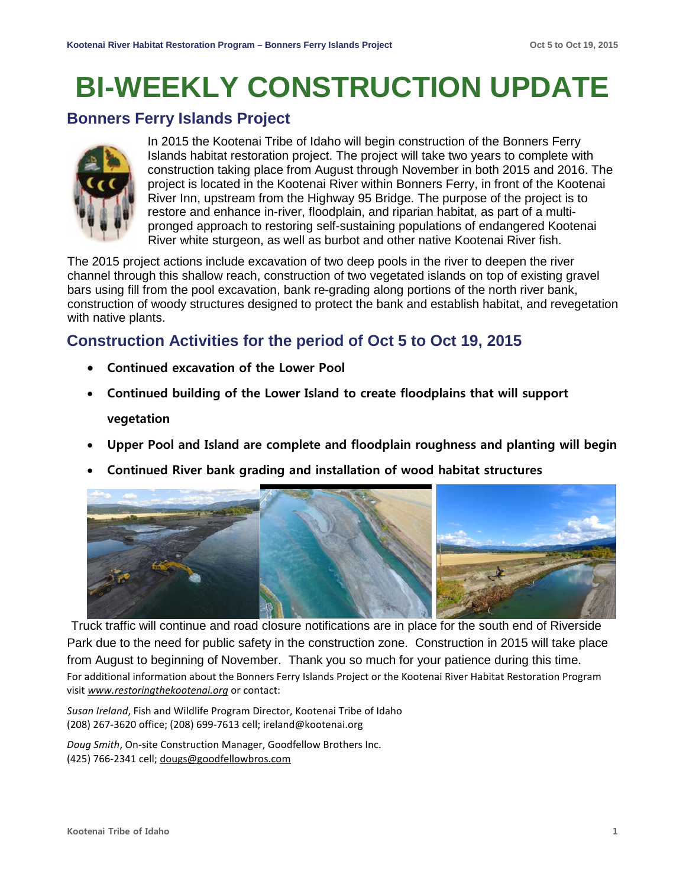# **BI-WEEKLY CONSTRUCTION UPDATE**

### **Bonners Ferry Islands Project**



In 2015 the Kootenai Tribe of Idaho will begin construction of the Bonners Ferry Islands habitat restoration project. The project will take two years to complete with construction taking place from August through November in both 2015 and 2016. The project is located in the Kootenai River within Bonners Ferry, in front of the Kootenai River Inn, upstream from the Highway 95 Bridge. The purpose of the project is to restore and enhance in-river, floodplain, and riparian habitat, as part of a multipronged approach to restoring self-sustaining populations of endangered Kootenai River white sturgeon, as well as burbot and other native Kootenai River fish.

The 2015 project actions include excavation of two deep pools in the river to deepen the river channel through this shallow reach, construction of two vegetated islands on top of existing gravel bars using fill from the pool excavation, bank re-grading along portions of the north river bank, construction of woody structures designed to protect the bank and establish habitat, and revegetation with native plants.

## **Construction Activities for the period of Oct 5 to Oct 19, 2015**

- **Continued excavation of the Lower Pool**
- **Continued building of the Lower Island to create floodplains that will support vegetation**
- **Upper Pool and Island are complete and floodplain roughness and planting will begin**
- **Continued River bank grading and installation of wood habitat structures**



Truck traffic will continue and road closure notifications are in place for the south end of Riverside Park due to the need for public safety in the construction zone. Construction in 2015 will take place from August to beginning of November. Thank you so much for your patience during this time. For additional information about the Bonners Ferry Islands Project or the Kootenai River Habitat Restoration Program visit *[www.restoringthekootenai.org](http://www.restoringthekootenai.org/)* or contact:

*Susan Ireland*, Fish and Wildlife Program Director, Kootenai Tribe of Idaho (208) 267-3620 office; (208) 699-7613 cell; [ireland@kootenai.org](mailto:ireland@kootenai.org)

*Doug Smith*, On-site Construction Manager, Goodfellow Brothers Inc. (425) 766-2341 cell; [dougs@goodfellowbros.com](mailto:dougs@goodfellowbros.com)